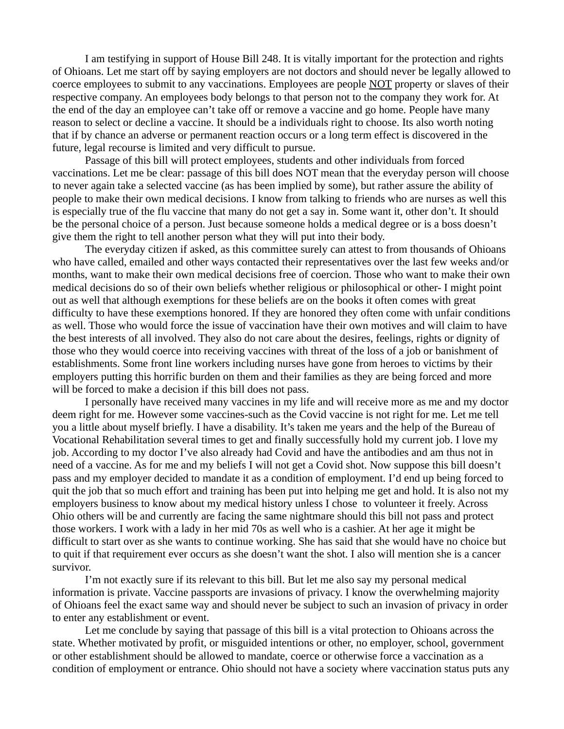I am testifying in support of House Bill 248. It is vitally important for the protection and rights of Ohioans. Let me start off by saying employers are not doctors and should never be legally allowed to coerce employees to submit to any vaccinations. Employees are people NOT property or slaves of their respective company. An employees body belongs to that person not to the company they work for. At the end of the day an employee can't take off or remove a vaccine and go home. People have many reason to select or decline a vaccine. It should be a individuals right to choose. Its also worth noting that if by chance an adverse or permanent reaction occurs or a long term effect is discovered in the future, legal recourse is limited and very difficult to pursue.

Passage of this bill will protect employees, students and other individuals from forced vaccinations. Let me be clear: passage of this bill does NOT mean that the everyday person will choose to never again take a selected vaccine (as has been implied by some), but rather assure the ability of people to make their own medical decisions. I know from talking to friends who are nurses as well this is especially true of the flu vaccine that many do not get a say in. Some want it, other don't. It should be the personal choice of a person. Just because someone holds a medical degree or is a boss doesn't give them the right to tell another person what they will put into their body.

The everyday citizen if asked, as this committee surely can attest to from thousands of Ohioans who have called, emailed and other ways contacted their representatives over the last few weeks and/or months, want to make their own medical decisions free of coercion. Those who want to make their own medical decisions do so of their own beliefs whether religious or philosophical or other- I might point out as well that although exemptions for these beliefs are on the books it often comes with great difficulty to have these exemptions honored. If they are honored they often come with unfair conditions as well. Those who would force the issue of vaccination have their own motives and will claim to have the best interests of all involved. They also do not care about the desires, feelings, rights or dignity of those who they would coerce into receiving vaccines with threat of the loss of a job or banishment of establishments. Some front line workers including nurses have gone from heroes to victims by their employers putting this horrific burden on them and their families as they are being forced and more will be forced to make a decision if this bill does not pass.

I personally have received many vaccines in my life and will receive more as me and my doctor deem right for me. However some vaccines-such as the Covid vaccine is not right for me. Let me tell you a little about myself briefly. I have a disability. It's taken me years and the help of the Bureau of Vocational Rehabilitation several times to get and finally successfully hold my current job. I love my job. According to my doctor I've also already had Covid and have the antibodies and am thus not in need of a vaccine. As for me and my beliefs I will not get a Covid shot. Now suppose this bill doesn't pass and my employer decided to mandate it as a condition of employment. I'd end up being forced to quit the job that so much effort and training has been put into helping me get and hold. It is also not my employers business to know about my medical history unless I chose to volunteer it freely. Across Ohio others will be and currently are facing the same nightmare should this bill not pass and protect those workers. I work with a lady in her mid 70s as well who is a cashier. At her age it might be difficult to start over as she wants to continue working. She has said that she would have no choice but to quit if that requirement ever occurs as she doesn't want the shot. I also will mention she is a cancer survivor.

I'm not exactly sure if its relevant to this bill. But let me also say my personal medical information is private. Vaccine passports are invasions of privacy. I know the overwhelming majority of Ohioans feel the exact same way and should never be subject to such an invasion of privacy in order to enter any establishment or event.

Let me conclude by saying that passage of this bill is a vital protection to Ohioans across the state. Whether motivated by profit, or misguided intentions or other, no employer, school, government or other establishment should be allowed to mandate, coerce or otherwise force a vaccination as a condition of employment or entrance. Ohio should not have a society where vaccination status puts any